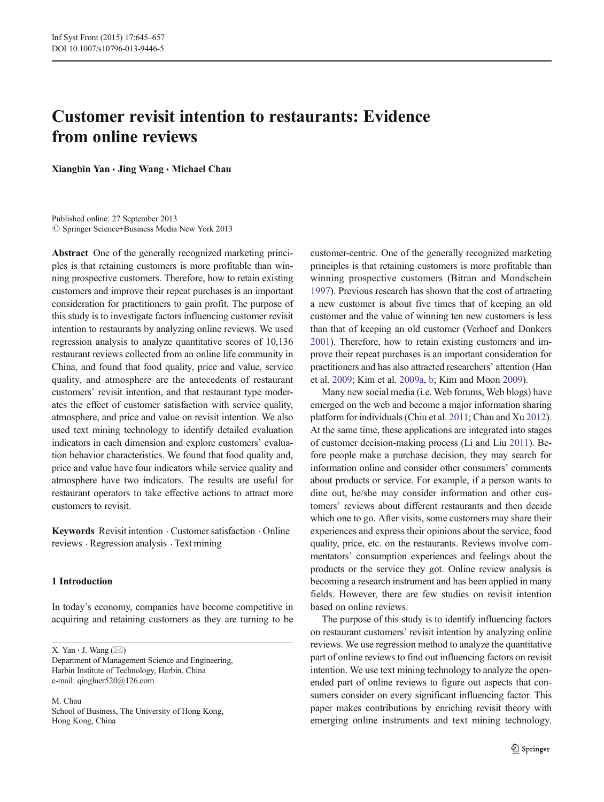# Customer revisit intention to restaurants: Evidence from online reviews

Xiangbin Yan & Jing Wang & Michael Chau

Published online: 27 September 2013 **C** Springer Science+Business Media New York 2013

Abstract One of the generally recognized marketing principles is that retaining customers is more profitable than winning prospective customers. Therefore, how to retain existing customers and improve their repeat purchases is an important consideration for practitioners to gain profit. The purpose of this study is to investigate factors influencing customer revisit intention to restaurants by analyzing online reviews. We used regression analysis to analyze quantitative scores of 10,136 restaurant reviews collected from an online life community in China, and found that food quality, price and value, service quality, and atmosphere are the antecedents of restaurant customers' revisit intention, and that restaurant type moderates the effect of customer satisfaction with service quality, atmosphere, and price and value on revisit intention. We also used text mining technology to identify detailed evaluation indicators in each dimension and explore customers' evaluation behavior characteristics. We found that food quality and, price and value have four indicators while service quality and atmosphere have two indicators. The results are useful for restaurant operators to take effective actions to attract more customers to revisit.

Keywords Revisit intention . Customer satisfaction . Online reviews . Regression analysis . Text mining

# 1 Introduction

In today's economy, companies have become competitive in acquiring and retaining customers as they are turning to be

X. Yan  $\cdot$  J. Wang ( $\boxtimes$ ) Department of Management Science and Engineering, Harbin Institute of Technology, Harbin, China

e-mail: qingluer520@126.com M. Chau

School of Business, The University of Hong Kong, Hong Kong, China

customer-centric. One of the generally recognized marketing principles is that retaining customers is more profitable than winning prospective customers (Bitran and Mondschein [1997\)](#page-11-0). Previous research has shown that the cost of attracting a new customer is about five times that of keeping an old customer and the value of winning ten new customers is less than that of keeping an old customer (Verhoef and Donkers [2001\)](#page-11-0). Therefore, how to retain existing customers and improve their repeat purchases is an important consideration for practitioners and has also attracted researchers' attention (Han et al. [2009](#page-11-0); Kim et al. [2009a,](#page-11-0) [b;](#page-11-0) Kim and Moon [2009](#page-11-0)).

Many new social media (i.e. Web forums, Web blogs) have emerged on the web and become a major information sharing platform for individuals (Chiu et al. [2011](#page-11-0); Chau and Xu [2012\)](#page-11-0). At the same time, these applications are integrated into stages of customer decision-making process (Li and Liu [2011\)](#page-11-0). Before people make a purchase decision, they may search for information online and consider other consumers' comments about products or service. For example, if a person wants to dine out, he/she may consider information and other customers' reviews about different restaurants and then decide which one to go. After visits, some customers may share their experiences and express their opinions about the service, food quality, price, etc. on the restaurants. Reviews involve commentators' consumption experiences and feelings about the products or the service they got. Online review analysis is becoming a research instrument and has been applied in many fields. However, there are few studies on revisit intention based on online reviews.

The purpose of this study is to identify influencing factors on restaurant customers' revisit intention by analyzing online reviews. We use regression method to analyze the quantitative part of online reviews to find out influencing factors on revisit intention. We use text mining technology to analyze the openended part of online reviews to figure out aspects that consumers consider on every significant influencing factor. This paper makes contributions by enriching revisit theory with emerging online instruments and text mining technology.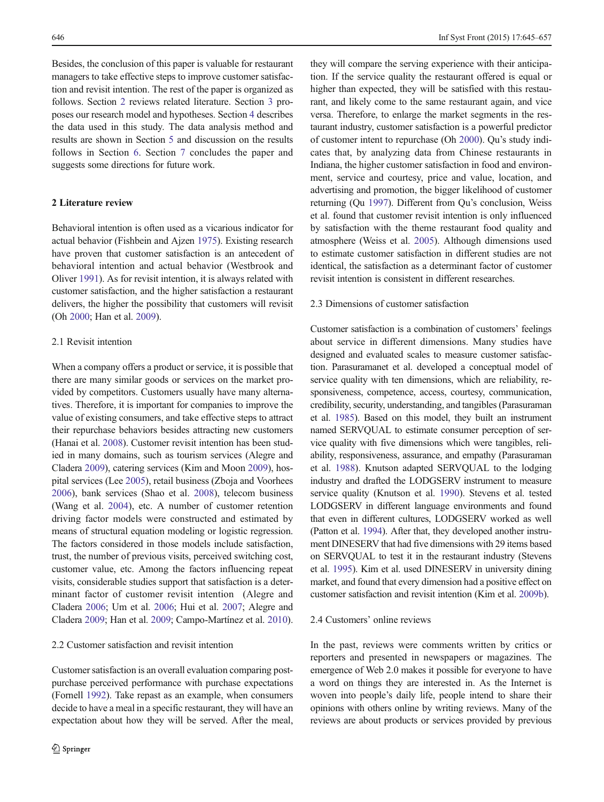Besides, the conclusion of this paper is valuable for restaurant managers to take effective steps to improve customer satisfaction and revisit intention. The rest of the paper is organized as follows. Section 2 reviews related literature. Section [3](#page-2-0) proposes our research model and hypotheses. Section [4](#page-3-0) describes the data used in this study. The data analysis method and results are shown in Section [5](#page-4-0) and discussion on the results follows in Section [6.](#page-9-0) Section [7](#page-10-0) concludes the paper and suggests some directions for future work.

## 2 Literature review

Behavioral intention is often used as a vicarious indicator for actual behavior (Fishbein and Ajzen [1975](#page-11-0)). Existing research have proven that customer satisfaction is an antecedent of behavioral intention and actual behavior (Westbrook and Oliver [1991\)](#page-12-0). As for revisit intention, it is always related with customer satisfaction, and the higher satisfaction a restaurant delivers, the higher the possibility that customers will revisit (Oh [2000](#page-11-0); Han et al. [2009\)](#page-11-0).

## 2.1 Revisit intention

When a company offers a product or service, it is possible that there are many similar goods or services on the market provided by competitors. Customers usually have many alternatives. Therefore, it is important for companies to improve the value of existing consumers, and take effective steps to attract their repurchase behaviors besides attracting new customers (Hanai et al. [2008](#page-11-0)). Customer revisit intention has been studied in many domains, such as tourism services (Alegre and Cladera [2009](#page-11-0)), catering services (Kim and Moon [2009](#page-11-0)), hospital services (Lee [2005](#page-11-0)), retail business (Zboja and Voorhees [2006\)](#page-12-0), bank services (Shao et al. [2008](#page-11-0)), telecom business (Wang et al. [2004\)](#page-12-0), etc. A number of customer retention driving factor models were constructed and estimated by means of structural equation modeling or logistic regression. The factors considered in those models include satisfaction, trust, the number of previous visits, perceived switching cost, customer value, etc. Among the factors influencing repeat visits, considerable studies support that satisfaction is a determinant factor of customer revisit intention (Alegre and Cladera [2006](#page-11-0); Um et al. [2006;](#page-11-0) Hui et al. [2007;](#page-11-0) Alegre and Cladera [2009](#page-11-0); Han et al. [2009](#page-11-0); Campo-Martínez et al. [2010\)](#page-11-0).

## 2.2 Customer satisfaction and revisit intention

Customer satisfaction is an overall evaluation comparing postpurchase perceived performance with purchase expectations (Fornell [1992\)](#page-11-0). Take repast as an example, when consumers decide to have a meal in a specific restaurant, they will have an expectation about how they will be served. After the meal,

they will compare the serving experience with their anticipation. If the service quality the restaurant offered is equal or higher than expected, they will be satisfied with this restaurant, and likely come to the same restaurant again, and vice versa. Therefore, to enlarge the market segments in the restaurant industry, customer satisfaction is a powerful predictor of customer intent to repurchase (Oh [2000\)](#page-11-0). Qu's study indicates that, by analyzing data from Chinese restaurants in Indiana, the higher customer satisfaction in food and environment, service and courtesy, price and value, location, and advertising and promotion, the bigger likelihood of customer returning (Qu [1997\)](#page-11-0). Different from Qu's conclusion, Weiss et al. found that customer revisit intention is only influenced by satisfaction with the theme restaurant food quality and atmosphere (Weiss et al. [2005](#page-12-0)). Although dimensions used to estimate customer satisfaction in different studies are not identical, the satisfaction as a determinant factor of customer revisit intention is consistent in different researches.

## 2.3 Dimensions of customer satisfaction

Customer satisfaction is a combination of customers' feelings about service in different dimensions. Many studies have designed and evaluated scales to measure customer satisfaction. Parasuramanet et al. developed a conceptual model of service quality with ten dimensions, which are reliability, responsiveness, competence, access, courtesy, communication, credibility, security, understanding, and tangibles (Parasuraman et al. [1985\)](#page-11-0). Based on this model, they built an instrument named SERVQUAL to estimate consumer perception of service quality with five dimensions which were tangibles, reliability, responsiveness, assurance, and empathy (Parasuraman et al. [1988](#page-11-0)). Knutson adapted SERVQUAL to the lodging industry and drafted the LODGSERV instrument to measure service quality (Knutson et al. [1990](#page-11-0)). Stevens et al. tested LODGSERV in different language environments and found that even in different cultures, LODGSERV worked as well (Patton et al. [1994\)](#page-11-0). After that, they developed another instrument DINESERV that had five dimensions with 29 items based on SERVQUAL to test it in the restaurant industry (Stevens et al. [1995](#page-11-0)). Kim et al. used DINESERV in university dining market, and found that every dimension had a positive effect on customer satisfaction and revisit intention (Kim et al. [2009b](#page-11-0)).

#### 2.4 Customers' online reviews

In the past, reviews were comments written by critics or reporters and presented in newspapers or magazines. The emergence of Web 2.0 makes it possible for everyone to have a word on things they are interested in. As the Internet is woven into people's daily life, people intend to share their opinions with others online by writing reviews. Many of the reviews are about products or services provided by previous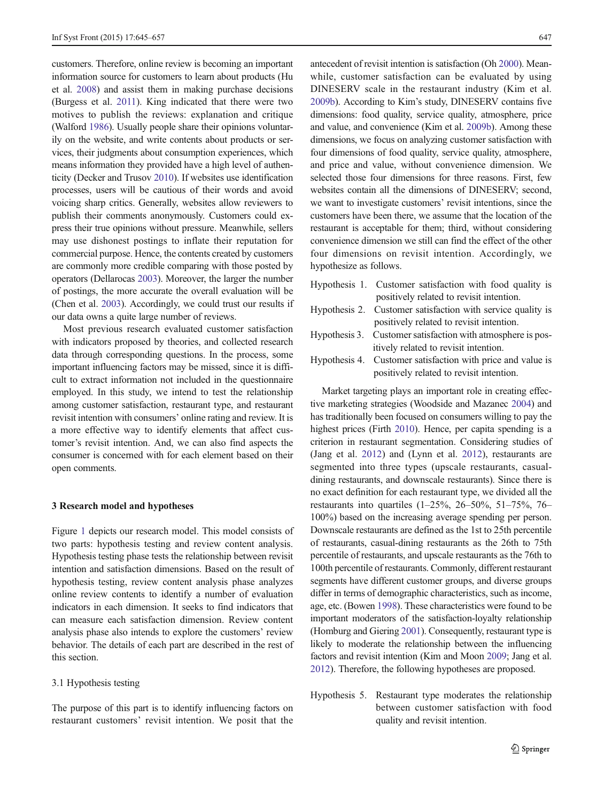<span id="page-2-0"></span>customers. Therefore, online review is becoming an important information source for customers to learn about products (Hu et al. [2008](#page-11-0)) and assist them in making purchase decisions (Burgess et al. [2011](#page-11-0)). King indicated that there were two motives to publish the reviews: explanation and critique (Walford [1986](#page-11-0)). Usually people share their opinions voluntarily on the website, and write contents about products or services, their judgments about consumption experiences, which means information they provided have a high level of authenticity (Decker and Trusov [2010](#page-11-0)). If websites use identification processes, users will be cautious of their words and avoid voicing sharp critics. Generally, websites allow reviewers to publish their comments anonymously. Customers could express their true opinions without pressure. Meanwhile, sellers may use dishonest postings to inflate their reputation for commercial purpose. Hence, the contents created by customers are commonly more credible comparing with those posted by operators (Dellarocas [2003](#page-11-0)). Moreover, the larger the number of postings, the more accurate the overall evaluation will be (Chen et al. [2003](#page-11-0)). Accordingly, we could trust our results if our data owns a quite large number of reviews.

Most previous research evaluated customer satisfaction with indicators proposed by theories, and collected research data through corresponding questions. In the process, some important influencing factors may be missed, since it is difficult to extract information not included in the questionnaire employed. In this study, we intend to test the relationship among customer satisfaction, restaurant type, and restaurant revisit intention with consumers' online rating and review. It is a more effective way to identify elements that affect customer's revisit intention. And, we can also find aspects the consumer is concerned with for each element based on their open comments.

## 3 Research model and hypotheses

Figure [1](#page-3-0) depicts our research model. This model consists of two parts: hypothesis testing and review content analysis. Hypothesis testing phase tests the relationship between revisit intention and satisfaction dimensions. Based on the result of hypothesis testing, review content analysis phase analyzes online review contents to identify a number of evaluation indicators in each dimension. It seeks to find indicators that can measure each satisfaction dimension. Review content analysis phase also intends to explore the customers' review behavior. The details of each part are described in the rest of this section.

## 3.1 Hypothesis testing

The purpose of this part is to identify influencing factors on restaurant customers' revisit intention. We posit that the

antecedent of revisit intention is satisfaction (Oh [2000](#page-11-0)). Meanwhile, customer satisfaction can be evaluated by using DINESERV scale in the restaurant industry (Kim et al. [2009b](#page-11-0)). According to Kim's study, DINESERV contains five dimensions: food quality, service quality, atmosphere, price and value, and convenience (Kim et al. [2009b](#page-11-0)). Among these dimensions, we focus on analyzing customer satisfaction with four dimensions of food quality, service quality, atmosphere, and price and value, without convenience dimension. We selected those four dimensions for three reasons. First, few websites contain all the dimensions of DINESERV; second, we want to investigate customers' revisit intentions, since the customers have been there, we assume that the location of the restaurant is acceptable for them; third, without considering convenience dimension we still can find the effect of the other four dimensions on revisit intention. Accordingly, we hypothesize as follows.

Hypothesis 1. Customer satisfaction with food quality is positively related to revisit intention. Hypothesis 2. Customer satisfaction with service quality is positively related to revisit intention. Hypothesis 3. Customer satisfaction with atmosphere is positively related to revisit intention. Hypothesis 4. Customer satisfaction with price and value is positively related to revisit intention.

Market targeting plays an important role in creating effective marketing strategies (Woodside and Mazanec [2004\)](#page-12-0) and has traditionally been focused on consumers willing to pay the highest prices (Firth [2010\)](#page-11-0). Hence, per capita spending is a criterion in restaurant segmentation. Considering studies of (Jang et al. [2012\)](#page-11-0) and (Lynn et al. [2012\)](#page-11-0), restaurants are segmented into three types (upscale restaurants, casualdining restaurants, and downscale restaurants). Since there is no exact definition for each restaurant type, we divided all the restaurants into quartiles (1–25%, 26–50%, 51–75%, 76– 100%) based on the increasing average spending per person. Downscale restaurants are defined as the 1st to 25th percentile of restaurants, casual-dining restaurants as the 26th to 75th percentile of restaurants, and upscale restaurants as the 76th to 100th percentile of restaurants. Commonly, different restaurant segments have different customer groups, and diverse groups differ in terms of demographic characteristics, such as income, age, etc. (Bowen [1998](#page-11-0)). These characteristics were found to be important moderators of the satisfaction-loyalty relationship (Homburg and Giering [2001](#page-11-0)). Consequently, restaurant type is likely to moderate the relationship between the influencing factors and revisit intention (Kim and Moon [2009;](#page-11-0) Jang et al. [2012\)](#page-11-0). Therefore, the following hypotheses are proposed.

Hypothesis 5. Restaurant type moderates the relationship between customer satisfaction with food quality and revisit intention.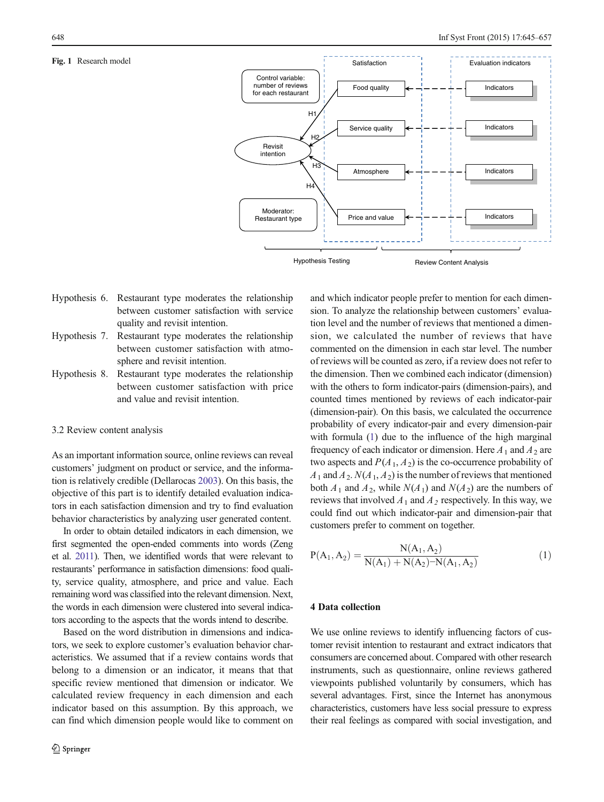<span id="page-3-0"></span>Fig. 1 Research model



- Hypothesis 6. Restaurant type moderates the relationship between customer satisfaction with service quality and revisit intention.
- Hypothesis 7. Restaurant type moderates the relationship between customer satisfaction with atmosphere and revisit intention.
- Hypothesis 8. Restaurant type moderates the relationship between customer satisfaction with price and value and revisit intention.

## 3.2 Review content analysis

As an important information source, online reviews can reveal customers' judgment on product or service, and the information is relatively credible (Dellarocas [2003\)](#page-11-0). On this basis, the objective of this part is to identify detailed evaluation indicators in each satisfaction dimension and try to find evaluation behavior characteristics by analyzing user generated content.

In order to obtain detailed indicators in each dimension, we first segmented the open-ended comments into words (Zeng et al. [2011\)](#page-12-0). Then, we identified words that were relevant to restaurants' performance in satisfaction dimensions: food quality, service quality, atmosphere, and price and value. Each remaining word was classified into the relevant dimension. Next, the words in each dimension were clustered into several indicators according to the aspects that the words intend to describe.

Based on the word distribution in dimensions and indicators, we seek to explore customer's evaluation behavior characteristics. We assumed that if a review contains words that belong to a dimension or an indicator, it means that that specific review mentioned that dimension or indicator. We calculated review frequency in each dimension and each indicator based on this assumption. By this approach, we can find which dimension people would like to comment on and which indicator people prefer to mention for each dimension. To analyze the relationship between customers' evaluation level and the number of reviews that mentioned a dimension, we calculated the number of reviews that have commented on the dimension in each star level. The number of reviews will be counted as zero, if a review does not refer to the dimension. Then we combined each indicator (dimension) with the others to form indicator-pairs (dimension-pairs), and counted times mentioned by reviews of each indicator-pair (dimension-pair). On this basis, we calculated the occurrence probability of every indicator-pair and every dimension-pair with formula (1) due to the influence of the high marginal frequency of each indicator or dimension. Here  $A_1$  and  $A_2$  are two aspects and  $P(A_1, A_2)$  is the co-occurrence probability of  $A_1$  and  $A_2$ .  $N(A_1, A_2)$  is the number of reviews that mentioned both  $A_1$  and  $A_2$ , while  $N(A_1)$  and  $N(A_2)$  are the numbers of reviews that involved  $A_1$  and  $A_2$  respectively. In this way, we could find out which indicator-pair and dimension-pair that customers prefer to comment on together.

$$
P(A_1, A_2) = \frac{N(A_1, A_2)}{N(A_1) + N(A_2) - N(A_1, A_2)}
$$
(1)

# 4 Data collection

We use online reviews to identify influencing factors of customer revisit intention to restaurant and extract indicators that consumers are concerned about. Compared with other research instruments, such as questionnaire, online reviews gathered viewpoints published voluntarily by consumers, which has several advantages. First, since the Internet has anonymous characteristics, customers have less social pressure to express their real feelings as compared with social investigation, and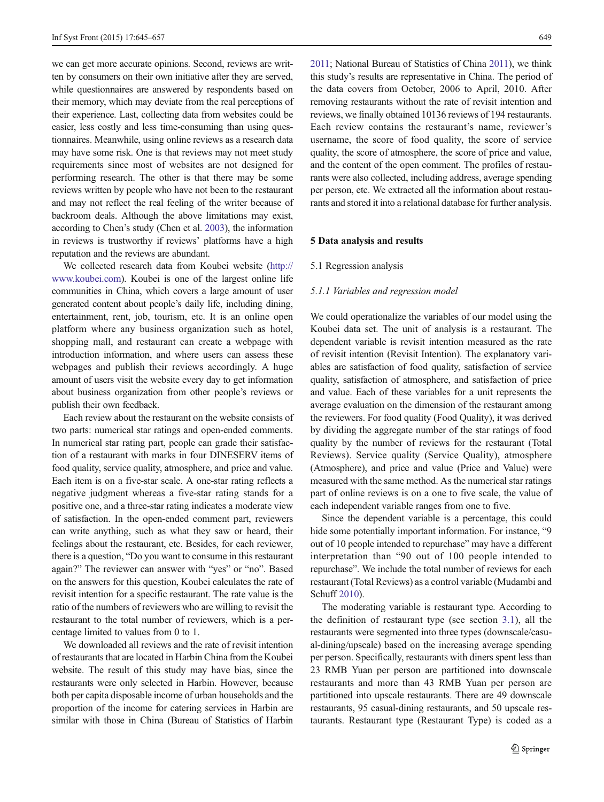<span id="page-4-0"></span>we can get more accurate opinions. Second, reviews are written by consumers on their own initiative after they are served, while questionnaires are answered by respondents based on their memory, which may deviate from the real perceptions of their experience. Last, collecting data from websites could be easier, less costly and less time-consuming than using questionnaires. Meanwhile, using online reviews as a research data may have some risk. One is that reviews may not meet study requirements since most of websites are not designed for performing research. The other is that there may be some reviews written by people who have not been to the restaurant and may not reflect the real feeling of the writer because of backroom deals. Although the above limitations may exist, according to Chen's study (Chen et al. [2003](#page-11-0)), the information in reviews is trustworthy if reviews' platforms have a high reputation and the reviews are abundant.

We collected research data from Koubei website [\(http://](http://www.koubei.com/) [www.koubei.com](http://www.koubei.com/)). Koubei is one of the largest online life communities in China, which covers a large amount of user generated content about people's daily life, including dining, entertainment, rent, job, tourism, etc. It is an online open platform where any business organization such as hotel, shopping mall, and restaurant can create a webpage with introduction information, and where users can assess these webpages and publish their reviews accordingly. A huge amount of users visit the website every day to get information about business organization from other people's reviews or publish their own feedback.

Each review about the restaurant on the website consists of two parts: numerical star ratings and open-ended comments. In numerical star rating part, people can grade their satisfaction of a restaurant with marks in four DINESERV items of food quality, service quality, atmosphere, and price and value. Each item is on a five-star scale. A one-star rating reflects a negative judgment whereas a five-star rating stands for a positive one, and a three-star rating indicates a moderate view of satisfaction. In the open-ended comment part, reviewers can write anything, such as what they saw or heard, their feelings about the restaurant, etc. Besides, for each reviewer, there is a question, "Do you want to consume in this restaurant again?" The reviewer can answer with "yes" or "no". Based on the answers for this question, Koubei calculates the rate of revisit intention for a specific restaurant. The rate value is the ratio of the numbers of reviewers who are willing to revisit the restaurant to the total number of reviewers, which is a percentage limited to values from 0 to 1.

We downloaded all reviews and the rate of revisit intention of restaurants that are located in Harbin China from the Koubei website. The result of this study may have bias, since the restaurants were only selected in Harbin. However, because both per capita disposable income of urban households and the proportion of the income for catering services in Harbin are similar with those in China (Bureau of Statistics of Harbin [2011](#page-11-0); National Bureau of Statistics of China [2011\)](#page-11-0), we think this study's results are representative in China. The period of the data covers from October, 2006 to April, 2010. After removing restaurants without the rate of revisit intention and reviews, we finally obtained 10136 reviews of 194 restaurants. Each review contains the restaurant's name, reviewer's username, the score of food quality, the score of service quality, the score of atmosphere, the score of price and value, and the content of the open comment. The profiles of restaurants were also collected, including address, average spending per person, etc. We extracted all the information about restaurants and stored it into a relational database for further analysis.

#### 5 Data analysis and results

#### 5.1 Regression analysis

#### 5.1.1 Variables and regression model

We could operationalize the variables of our model using the Koubei data set. The unit of analysis is a restaurant. The dependent variable is revisit intention measured as the rate of revisit intention (Revisit Intention). The explanatory variables are satisfaction of food quality, satisfaction of service quality, satisfaction of atmosphere, and satisfaction of price and value. Each of these variables for a unit represents the average evaluation on the dimension of the restaurant among the reviewers. For food quality (Food Quality), it was derived by dividing the aggregate number of the star ratings of food quality by the number of reviews for the restaurant (Total Reviews). Service quality (Service Quality), atmosphere (Atmosphere), and price and value (Price and Value) were measured with the same method. As the numerical star ratings part of online reviews is on a one to five scale, the value of each independent variable ranges from one to five.

Since the dependent variable is a percentage, this could hide some potentially important information. For instance, "9 out of 10 people intended to repurchase" may have a different interpretation than "90 out of 100 people intended to repurchase". We include the total number of reviews for each restaurant (Total Reviews) as a control variable (Mudambi and Schuff [2010\)](#page-11-0).

The moderating variable is restaurant type. According to the definition of restaurant type (see section [3.1\)](#page-2-0), all the restaurants were segmented into three types (downscale/casual-dining/upscale) based on the increasing average spending per person. Specifically, restaurants with diners spent less than 23 RMB Yuan per person are partitioned into downscale restaurants and more than 43 RMB Yuan per person are partitioned into upscale restaurants. There are 49 downscale restaurants, 95 casual-dining restaurants, and 50 upscale restaurants. Restaurant type (Restaurant Type) is coded as a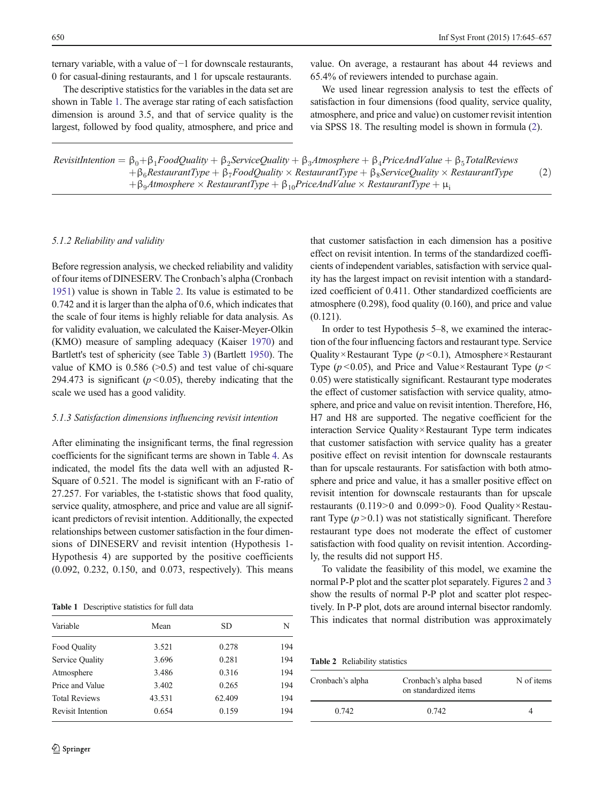ternary variable, with a value of −1 for downscale restaurants, 0 for casual-dining restaurants, and 1 for upscale restaurants.

The descriptive statistics for the variables in the data set are shown in Table 1. The average star rating of each satisfaction dimension is around 3.5, and that of service quality is the largest, followed by food quality, atmosphere, and price and

value. On average, a restaurant has about 44 reviews and 65.4% of reviewers intended to purchase again.

We used linear regression analysis to test the effects of satisfaction in four dimensions (food quality, service quality, atmosphere, and price and value) on customer revisit intention via SPSS 18. The resulting model is shown in formula (2).

| RevisitIntention = $\beta_0 + \beta_1$ FoodQuality + $\beta_2$ ServiceQuality + $\beta_3$ Atmosphere + $\beta_4$ PriceAndValue + $\beta_5$ TotalReviews |     |
|---------------------------------------------------------------------------------------------------------------------------------------------------------|-----|
| $\beta_6$ RestaurantType + $\beta_7$ FoodQuality × RestaurantType + $\beta_8$ ServiceQuality × RestaurantType                                           | (2) |
| $\beta_0$ Atmosphere $\times$ RestaurantType $+\beta_{10}$ PriceAndValue $\times$ RestaurantType $+\mu_i$                                               |     |

## 5.1.2 Reliability and validity

Before regression analysis, we checked reliability and validity of four items of DINESERV. The Cronbach's alpha (Cronbach [1951\)](#page-11-0) value is shown in Table 2. Its value is estimated to be 0.742 and it is larger than the alpha of 0.6, which indicates that the scale of four items is highly reliable for data analysis. As for validity evaluation, we calculated the Kaiser-Meyer-Olkin (KMO) measure of sampling adequacy (Kaiser [1970](#page-11-0)) and Bartlett's test of sphericity (see Table [3\)](#page-6-0) (Bartlett [1950](#page-11-0)). The value of KMO is  $0.586$  ( $>0.5$ ) and test value of chi-square 294.473 is significant ( $p < 0.05$ ), thereby indicating that the scale we used has a good validity.

#### 5.1.3 Satisfaction dimensions influencing revisit intention

After eliminating the insignificant terms, the final regression coefficients for the significant terms are shown in Table [4](#page-6-0). As indicated, the model fits the data well with an adjusted R-Square of 0.521. The model is significant with an F-ratio of 27.257. For variables, the t-statistic shows that food quality, service quality, atmosphere, and price and value are all significant predictors of revisit intention. Additionally, the expected relationships between customer satisfaction in the four dimensions of DINESERV and revisit intention (Hypothesis 1- Hypothesis 4) are supported by the positive coefficients (0.092, 0.232, 0.150, and 0.073, respectively). This means

Table 1 Descriptive statistics for full data

| Variable             | Mean   | SD     | N   |
|----------------------|--------|--------|-----|
| Food Quality         | 3.521  | 0.278  | 194 |
| Service Quality      | 3.696  | 0.281  | 194 |
| Atmosphere           | 3.486  | 0.316  | 194 |
| Price and Value      | 3.402  | 0.265  | 194 |
| <b>Total Reviews</b> | 43.531 | 62.409 | 194 |
| Revisit Intention    | 0.654  | 0.159  | 194 |

that customer satisfaction in each dimension has a positive effect on revisit intention. In terms of the standardized coefficients of independent variables, satisfaction with service quality has the largest impact on revisit intention with a standardized coefficient of 0.411. Other standardized coefficients are atmosphere (0.298), food quality (0.160), and price and value (0.121).

In order to test Hypothesis 5–8, we examined the interaction of the four influencing factors and restaurant type. Service Quality×Restaurant Type  $(p<0.1)$ , Atmosphere×Restaurant Type ( $p$  < 0.05), and Price and Value×Restaurant Type ( $p$  < 0.05) were statistically significant. Restaurant type moderates the effect of customer satisfaction with service quality, atmosphere, and price and value on revisit intention. Therefore, H6, H7 and H8 are supported. The negative coefficient for the interaction Service Quality×Restaurant Type term indicates that customer satisfaction with service quality has a greater positive effect on revisit intention for downscale restaurants than for upscale restaurants. For satisfaction with both atmosphere and price and value, it has a smaller positive effect on revisit intention for downscale restaurants than for upscale restaurants (0.119>0 and 0.099>0). Food Quality×Restaurant Type  $(p > 0.1)$  was not statistically significant. Therefore restaurant type does not moderate the effect of customer satisfaction with food quality on revisit intention. Accordingly, the results did not support H5.

To validate the feasibility of this model, we examine the normal P-P plot and the scatter plot separately. Figures [2](#page-7-0) and [3](#page-7-0) show the results of normal P-P plot and scatter plot respectively. In P-P plot, dots are around internal bisector randomly. This indicates that normal distribution was approximately

Table 2 Reliability statistics

| Cronbach's alpha | Cronbach's alpha based<br>on standardized items | N of items |  |
|------------------|-------------------------------------------------|------------|--|
| 0.742            | 0.742                                           |            |  |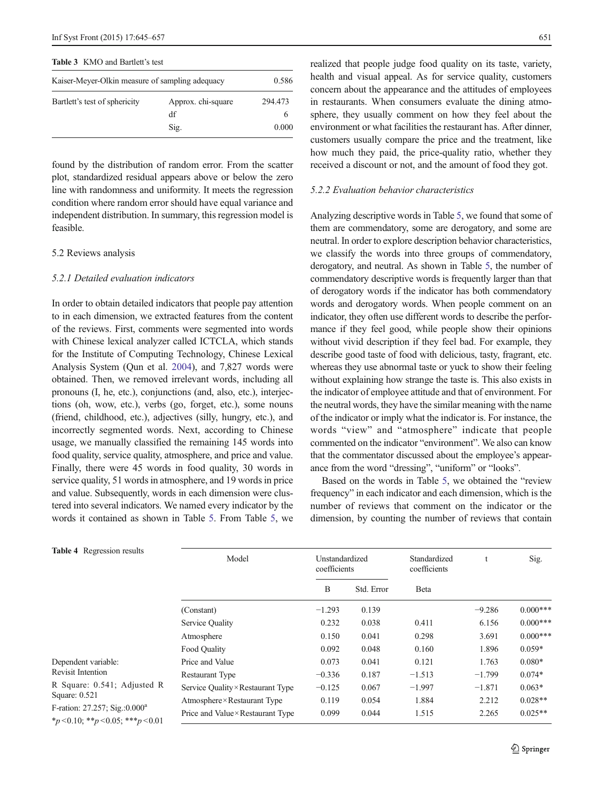<span id="page-6-0"></span>

|  |  |  | <b>Table 3</b> KMO and Bartlett's test |  |
|--|--|--|----------------------------------------|--|
|--|--|--|----------------------------------------|--|

| Kaiser-Meyer-Olkin measure of sampling adequacy | 0.586                            |                  |
|-------------------------------------------------|----------------------------------|------------------|
| Bartlett's test of sphericity                   | Approx. chi-square<br>df<br>Sig. | 294.473<br>0.000 |

found by the distribution of random error. From the scatter plot, standardized residual appears above or below the zero line with randomness and uniformity. It meets the regression condition where random error should have equal variance and independent distribution. In summary, this regression model is feasible.

## 5.2 Reviews analysis

## 5.2.1 Detailed evaluation indicators

In order to obtain detailed indicators that people pay attention to in each dimension, we extracted features from the content of the reviews. First, comments were segmented into words with Chinese lexical analyzer called ICTCLA, which stands for the Institute of Computing Technology, Chinese Lexical Analysis System (Qun et al. [2004](#page-11-0)), and 7,827 words were obtained. Then, we removed irrelevant words, including all pronouns (I, he, etc.), conjunctions (and, also, etc.), interjections (oh, wow, etc.), verbs (go, forget, etc.), some nouns (friend, childhood, etc.), adjectives (silly, hungry, etc.), and incorrectly segmented words. Next, according to Chinese usage, we manually classified the remaining 145 words into food quality, service quality, atmosphere, and price and value. Finally, there were 45 words in food quality, 30 words in service quality, 51 words in atmosphere, and 19 words in price and value. Subsequently, words in each dimension were clustered into several indicators. We named every indicator by the words it contained as shown in Table [5.](#page-8-0) From Table [5,](#page-8-0) we realized that people judge food quality on its taste, variety, health and visual appeal. As for service quality, customers concern about the appearance and the attitudes of employees in restaurants. When consumers evaluate the dining atmosphere, they usually comment on how they feel about the environment or what facilities the restaurant has. After dinner, customers usually compare the price and the treatment, like how much they paid, the price-quality ratio, whether they received a discount or not, and the amount of food they got.

#### 5.2.2 Evaluation behavior characteristics

Analyzing descriptive words in Table [5](#page-8-0), we found that some of them are commendatory, some are derogatory, and some are neutral. In order to explore description behavior characteristics, we classify the words into three groups of commendatory, derogatory, and neutral. As shown in Table [5](#page-8-0), the number of commendatory descriptive words is frequently larger than that of derogatory words if the indicator has both commendatory words and derogatory words. When people comment on an indicator, they often use different words to describe the performance if they feel good, while people show their opinions without vivid description if they feel bad. For example, they describe good taste of food with delicious, tasty, fragrant, etc. whereas they use abnormal taste or yuck to show their feeling without explaining how strange the taste is. This also exists in the indicator of employee attitude and that of environment. For the neutral words, they have the similar meaning with the name of the indicator or imply what the indicator is. For instance, the words "view" and "atmosphere" indicate that people commented on the indicator "environment". We also can know that the commentator discussed about the employee's appearance from the word "dressing", "uniform" or "looks".

Based on the words in Table [5](#page-8-0), we obtained the "review frequency" in each indicator and each dimension, which is the number of reviews that comment on the indicator or the dimension, by counting the number of reviews that contain

| <b>Table 4</b> Regression results                                                      | Model<br>Unstandardized<br>coefficients |          | Standardized<br>coefficients |              | Sig.     |            |
|----------------------------------------------------------------------------------------|-----------------------------------------|----------|------------------------------|--------------|----------|------------|
|                                                                                        |                                         | B        | Std. Error                   | <b>B</b> eta |          |            |
|                                                                                        | (Constant)                              | $-1.293$ | 0.139                        |              | $-9.286$ | $0.000***$ |
|                                                                                        | Service Quality                         | 0.232    | 0.038                        | 0.411        | 6.156    | $0.000***$ |
|                                                                                        | Atmosphere                              | 0.150    | 0.041                        | 0.298        | 3.691    | $0.000***$ |
|                                                                                        | Food Ouality                            | 0.092    | 0.048                        | 0.160        | 1.896    | $0.059*$   |
| Dependent variable:<br><b>Revisit Intention</b>                                        | Price and Value                         | 0.073    | 0.041                        | 0.121        | 1.763    | $0.080*$   |
|                                                                                        | <b>Restaurant Type</b>                  | $-0.336$ | 0.187                        | $-1.513$     | $-1.799$ | $0.074*$   |
| R Square: 0.541; Adjusted R<br>Square: 0.521                                           | Service Quality × Restaurant Type       | $-0.125$ | 0.067                        | $-1.997$     | $-1.871$ | $0.063*$   |
|                                                                                        | Atmosphere × Restaurant Type            | 0.119    | 0.054                        | 1.884        | 2.212    | $0.028**$  |
| F-ration: 27.257; Sig.:0.000 <sup>a</sup><br>$*_p$ < 0.10; $*_p$ < 0.05; $**_p$ < 0.01 | Price and Value×Restaurant Type         | 0.099    | 0.044                        | 1.515        | 2.265    | $0.025**$  |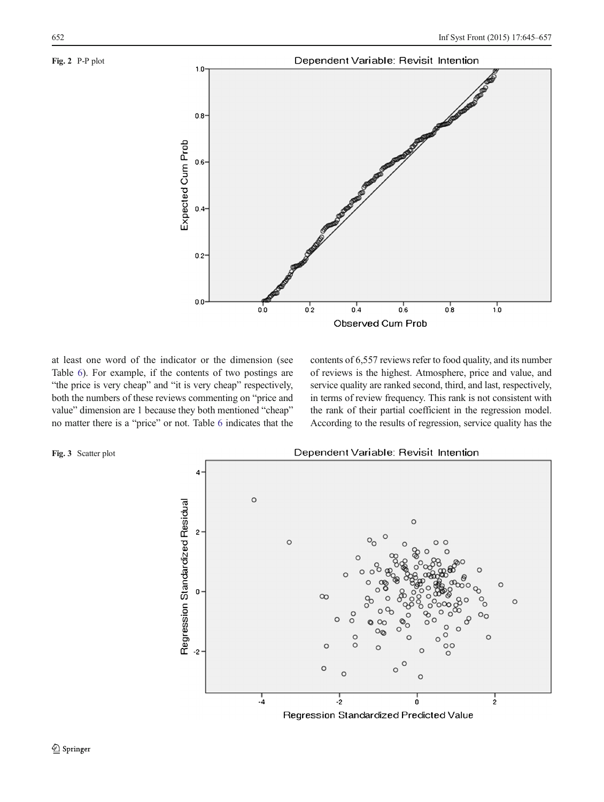## <span id="page-7-0"></span>Fig. 2 P-P plot



at least one word of the indicator or the dimension (see Table [6](#page-8-0)). For example, if the contents of two postings are "the price is very cheap" and "it is very cheap" respectively, both the numbers of these reviews commenting on "price and value" dimension are 1 because they both mentioned "cheap" no matter there is a "price" or not. Table [6](#page-8-0) indicates that the contents of 6,557 reviews refer to food quality, and its number of reviews is the highest. Atmosphere, price and value, and service quality are ranked second, third, and last, respectively, in terms of review frequency. This rank is not consistent with the rank of their partial coefficient in the regression model. According to the results of regression, service quality has the



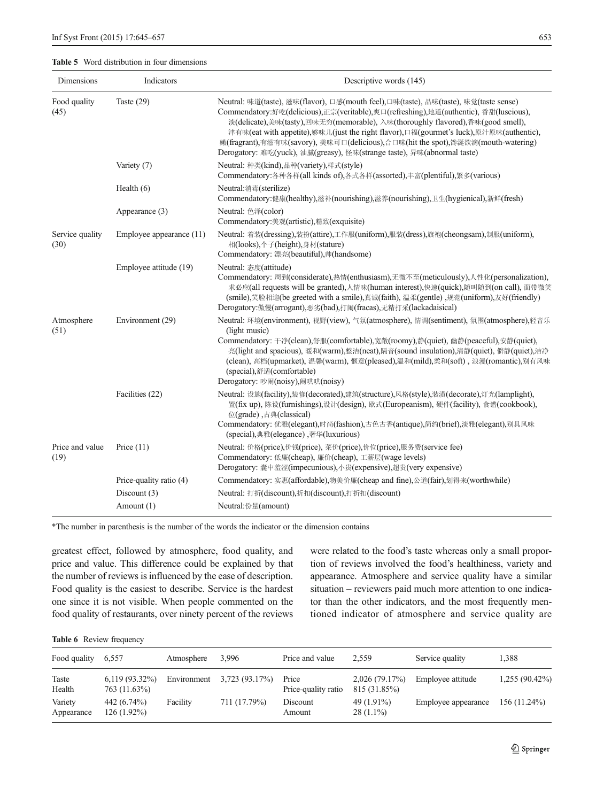## <span id="page-8-0"></span>Table 5 Word distribution in four dimensions

| Dimensions              | Indicators               | Descriptive words (145)                                                                                                                                                                                                                                                                                                                                                                                                                                                                                                |
|-------------------------|--------------------------|------------------------------------------------------------------------------------------------------------------------------------------------------------------------------------------------------------------------------------------------------------------------------------------------------------------------------------------------------------------------------------------------------------------------------------------------------------------------------------------------------------------------|
| Food quality<br>(45)    | Taste $(29)$             | Neutral: 味道(taste), 滋味(flavor), 口感(mouth feel),口味(taste), 品味(taste), 味觉(taste sense)<br>Commendatory:好吃(delicious),正宗(veritable),爽口(refreshing),地道(authentic), 香甜(luscious),<br>淡(delicate),美味(tasty),回味无穷(memorable), 入味(thoroughly flavored),香味(good smell),<br>津有味(eat with appetite),够味儿(just the right flavor),口福(gourmet's luck),原汁原味(authentic),<br>嫩(fragrant),有滋有味(savory), 美味可口(delicious),合口味(hit the spot),馋涎欲滴(mouth-watering)<br>Derogatory: 难吃(yuck), 油腻(greasy), 怪味(strange taste), 异味(abnormal taste) |
|                         | Variety (7)              | Neutral: 种类(kind),品种(variety),样式(style)<br>Commendatory:各种各样(all kinds of),各式各样(assorted),丰富(plentiful),繁多(various)                                                                                                                                                                                                                                                                                                                                                                                                    |
|                         | Health $(6)$             | Neutral:消毒(sterilize)<br>Commendatory:健康(healthy),滋补(nourishing),滋养(nourishing),卫生(hygienical),新鲜(fresh)                                                                                                                                                                                                                                                                                                                                                                                                               |
|                         | Appearance (3)           | Neutral: 色泽(color)<br>Commendatory:美观(artistic),精致(exquisite)                                                                                                                                                                                                                                                                                                                                                                                                                                                          |
| Service quality<br>(30) | Employee appearance (11) | Neutral: 着装(dressing),装扮(attire),工作服(uniform),服装(dress),旗袍(cheongsam),制服(uniform),<br>相(looks),个子(height),身材(stature)<br>Commendatory: 漂亮(beautiful),帅(handsome)                                                                                                                                                                                                                                                                                                                                                       |
|                         | Employee attitude (19)   | Neutral: 态度(attitude)<br>Commendatory: 周到(considerate),热情(enthusiasm),无微不至(meticulously),人性化(personalization),<br>求必应(all requests will be granted),人情味(human interest),快速(quick),随叫随到(on call), 面带微笑<br>(smile),笑脸相迎(be greeted with a smile),真诚(faith), 温柔(gentle),规范(uniform),友好(friendly)<br>Derogatory:傲慢(arrogant),恶劣(bad),打闹(fracas),无精打采(lackadaisical)                                                                                                                                                        |
| Atmosphere<br>(51)      | Environment (29)         | Neutral: 环境(environment), 视野(view), 气氛(atmosphere), 情调(sentiment), 氛围(atmosphere),轻音乐<br>(light music)<br>Commendatory: 干净(clean),舒服(comfortable),宽敞(roomy),静(quiet), 幽静(peaceful),安静(quiet),<br>亮(light and spacious), 暖和(warm),整洁(neat),隔音(sound insulation),清静(quiet), 僻静(quiet),洁净<br>(clean), 高档(upmarket), 温馨(warm), 惬意(pleased),温和(mild),柔和(soft), 浪漫(romantic),别有风味<br>(special),舒适(comfortable)<br>Derogatory: 吵闹(noisy),闹哄哄(noisy)                                                                           |
|                         | Facilities (22)          | Neutral: 设施(facility),装修(decorated),建筑(structure),风格(style),装潢(decorate),灯光(lamplight),<br>置(fix up), 陈设(furnishings),设计(design), 欧式(Europeanism), 硬件(facility), 食谱(cookbook),<br>$&$ (grade), $\pm \#$ (classical)<br>Commendatory: 优雅(elegant),时尚(fashion),古色古香(antique),简约(brief),淡雅(elegant),别具风味<br>(special),典雅(elegance),奢华(luxurious)                                                                                                                                                                          |
| Price and value<br>(19) | Price $(11)$             | Neutral: 价格(price),价钱(price), 菜价(price),价位(price),服务费(service fee)<br>Commendatory: 低廉(cheap), 廉价(cheap), 工薪层(wage levels)<br>Derogatory: 囊中羞涩(impecunious),小贵(expensive),超贵(very expensive)                                                                                                                                                                                                                                                                                                                           |
|                         | Price-quality ratio (4)  | Commendatory: 实惠(affordable),物美价廉(cheap and fine),公道(fair),划得来(worthwhile)                                                                                                                                                                                                                                                                                                                                                                                                                                             |
|                         | Discount $(3)$           | Neutral: 打折(discount),折扣(discount),打折扣(discount)                                                                                                                                                                                                                                                                                                                                                                                                                                                                       |
|                         | Amount (1)               | Neutral:份量(amount)                                                                                                                                                                                                                                                                                                                                                                                                                                                                                                     |

\*The number in parenthesis is the number of the words the indicator or the dimension contains

greatest effect, followed by atmosphere, food quality, and price and value. This difference could be explained by that the number of reviews is influenced by the ease of description. Food quality is the easiest to describe. Service is the hardest one since it is not visible. When people commented on the food quality of restaurants, over ninety percent of the reviews were related to the food's taste whereas only a small proportion of reviews involved the food's healthiness, variety and appearance. Atmosphere and service quality have a similar situation – reviewers paid much more attention to one indicator than the other indicators, and the most frequently mentioned indicator of atmosphere and service quality are

```
Table 6 Review frequency
```

| Food quality          | 6.557                            | Atmosphere  | 3.996          | Price and value              | 2.559                         | Service quality     | 1.388            |
|-----------------------|----------------------------------|-------------|----------------|------------------------------|-------------------------------|---------------------|------------------|
| Taste<br>Health       | $6,119(93.32\%)$<br>763 (11.63%) | Environment | 3,723 (93.17%) | Price<br>Price-quality ratio | 2,026(79.17%)<br>815 (31.85%) | Employee attitude   | $1,255(90.42\%)$ |
| Variety<br>Appearance | 442 (6.74%)<br>$126(1.92\%)$     | Facility    | 711 (17.79%)   | Discount<br>Amount           | 49 (1.91%)<br>$28(1.1\%)$     | Employee appearance | $156(11.24\%)$   |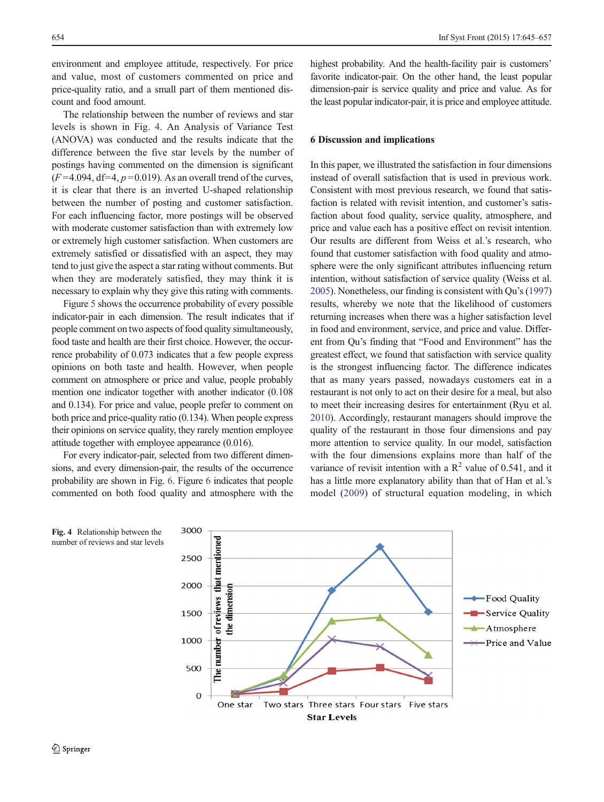<span id="page-9-0"></span>environment and employee attitude, respectively. For price and value, most of customers commented on price and price-quality ratio, and a small part of them mentioned discount and food amount.

The relationship between the number of reviews and star levels is shown in Fig. 4. An Analysis of Variance Test (ANOVA) was conducted and the results indicate that the difference between the five star levels by the number of postings having commented on the dimension is significant  $(F=4.094, df=4, p=0.019)$ . As an overall trend of the curves, it is clear that there is an inverted U-shaped relationship between the number of posting and customer satisfaction. For each influencing factor, more postings will be observed with moderate customer satisfaction than with extremely low or extremely high customer satisfaction. When customers are extremely satisfied or dissatisfied with an aspect, they may tend to just give the aspect a star rating without comments. But when they are moderately satisfied, they may think it is necessary to explain why they give this rating with comments.

Figure [5](#page-10-0) shows the occurrence probability of every possible indicator-pair in each dimension. The result indicates that if people comment on two aspects of food quality simultaneously, food taste and health are their first choice. However, the occurrence probability of 0.073 indicates that a few people express opinions on both taste and health. However, when people comment on atmosphere or price and value, people probably mention one indicator together with another indicator (0.108 and 0.134). For price and value, people prefer to comment on both price and price-quality ratio (0.134). When people express their opinions on service quality, they rarely mention employee attitude together with employee appearance (0.016).

For every indicator-pair, selected from two different dimensions, and every dimension-pair, the results of the occurrence probability are shown in Fig. [6](#page-10-0). Figure [6](#page-10-0) indicates that people commented on both food quality and atmosphere with the

highest probability. And the health-facility pair is customers' favorite indicator-pair. On the other hand, the least popular dimension-pair is service quality and price and value. As for the least popular indicator-pair, it is price and employee attitude.

# 6 Discussion and implications

In this paper, we illustrated the satisfaction in four dimensions instead of overall satisfaction that is used in previous work. Consistent with most previous research, we found that satisfaction is related with revisit intention, and customer's satisfaction about food quality, service quality, atmosphere, and price and value each has a positive effect on revisit intention. Our results are different from Weiss et al.'s research, who found that customer satisfaction with food quality and atmosphere were the only significant attributes influencing return intention, without satisfaction of service quality (Weiss et al. [2005\)](#page-12-0). Nonetheless, our finding is consistent with Qu's [\(1997](#page-11-0)) results, whereby we note that the likelihood of customers returning increases when there was a higher satisfaction level in food and environment, service, and price and value. Different from Qu's finding that "Food and Environment" has the greatest effect, we found that satisfaction with service quality is the strongest influencing factor. The difference indicates that as many years passed, nowadays customers eat in a restaurant is not only to act on their desire for a meal, but also to meet their increasing desires for entertainment (Ryu et al. [2010\)](#page-11-0). Accordingly, restaurant managers should improve the quality of the restaurant in those four dimensions and pay more attention to service quality. In our model, satisfaction with the four dimensions explains more than half of the variance of revisit intention with a  $\mathbb{R}^2$  value of 0.541, and it has a little more explanatory ability than that of Han et al.'s model [\(2009\)](#page-11-0) of structural equation modeling, in which

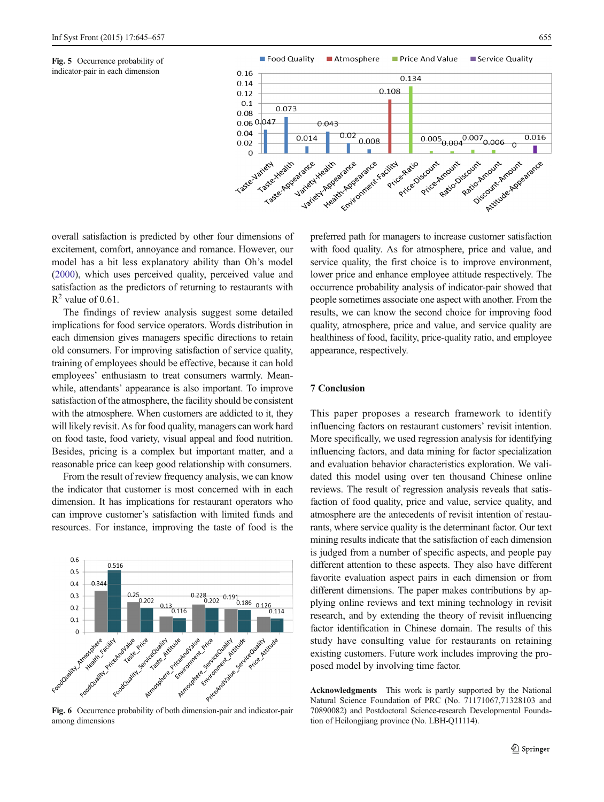<span id="page-10-0"></span>Fig. 5 Occurrence probability of indicator-pair in each dimension



overall satisfaction is predicted by other four dimensions of excitement, comfort, annoyance and romance. However, our model has a bit less explanatory ability than Oh's model [\(2000\)](#page-11-0), which uses perceived quality, perceived value and satisfaction as the predictors of returning to restaurants with  $R^2$  value of 0.61.

The findings of review analysis suggest some detailed implications for food service operators. Words distribution in each dimension gives managers specific directions to retain old consumers. For improving satisfaction of service quality, training of employees should be effective, because it can hold employees' enthusiasm to treat consumers warmly. Meanwhile, attendants' appearance is also important. To improve satisfaction of the atmosphere, the facility should be consistent with the atmosphere. When customers are addicted to it, they will likely revisit. As for food quality, managers can work hard on food taste, food variety, visual appeal and food nutrition. Besides, pricing is a complex but important matter, and a reasonable price can keep good relationship with consumers.

From the result of review frequency analysis, we can know the indicator that customer is most concerned with in each dimension. It has implications for restaurant operators who can improve customer's satisfaction with limited funds and resources. For instance, improving the taste of food is the



among dimensions

preferred path for managers to increase customer satisfaction with food quality. As for atmosphere, price and value, and service quality, the first choice is to improve environment, lower price and enhance employee attitude respectively. The occurrence probability analysis of indicator-pair showed that people sometimes associate one aspect with another. From the results, we can know the second choice for improving food quality, atmosphere, price and value, and service quality are healthiness of food, facility, price-quality ratio, and employee appearance, respectively.

# 7 Conclusion

This paper proposes a research framework to identify influencing factors on restaurant customers' revisit intention. More specifically, we used regression analysis for identifying influencing factors, and data mining for factor specialization and evaluation behavior characteristics exploration. We validated this model using over ten thousand Chinese online reviews. The result of regression analysis reveals that satisfaction of food quality, price and value, service quality, and atmosphere are the antecedents of revisit intention of restaurants, where service quality is the determinant factor. Our text mining results indicate that the satisfaction of each dimension is judged from a number of specific aspects, and people pay different attention to these aspects. They also have different favorite evaluation aspect pairs in each dimension or from different dimensions. The paper makes contributions by applying online reviews and text mining technology in revisit research, and by extending the theory of revisit influencing factor identification in Chinese domain. The results of this study have consulting value for restaurants on retaining existing customers. Future work includes improving the proposed model by involving time factor.

Acknowledgments This work is partly supported by the National Natural Science Foundation of PRC (No. 71171067,71328103 and 70890082) and Postdoctoral Science-research Developmental Foundation of Heilongjiang province (No. LBH-Q11114).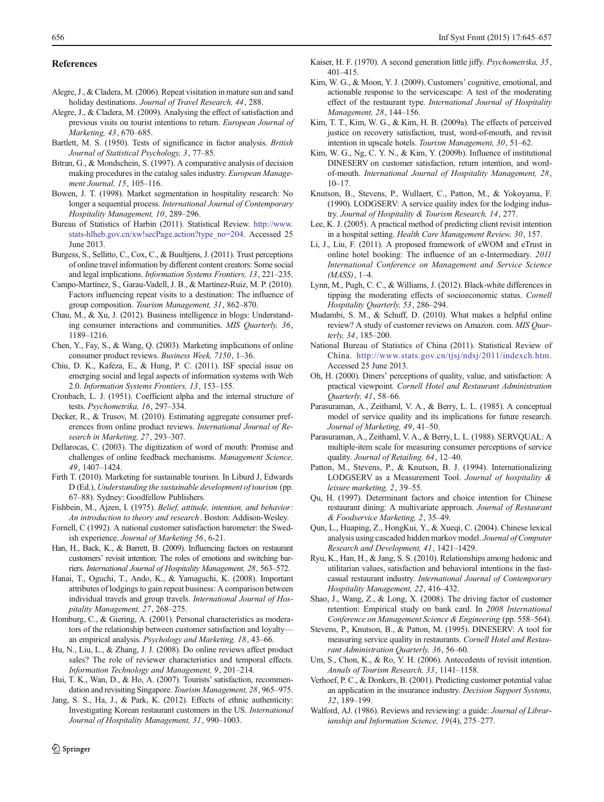#### <span id="page-11-0"></span>References

- Alegre, J., & Cladera, M. (2006). Repeat visitation in mature sun and sand holiday destinations. Journal of Travel Research, 44, 288.
- Alegre, J., & Cladera, M. (2009). Analysing the effect of satisfaction and previous visits on tourist intentions to return. European Journal of Marketing, 43, 670–685.
- Bartlett, M. S. (1950). Tests of significance in factor analysis. British Journal of Statistical Psychology, 3, 77–85.
- Bitran, G., & Mondschein, S. (1997). A comparative analysis of decision making procedures in the catalog sales industry. European Management Journal, 15, 105–116.
- Bowen, J. T. (1998). Market segmentation in hospitality research: No longer a sequential process. International Journal of Contemporary Hospitality Management, 10, 289–296.
- Bureau of Statistics of Harbin (2011). Statistical Review. [http://www.](http://www.stats-hlheb.gov.cn/xw!secPage.action?type_no=204) [stats-hlheb.gov.cn/xw!secPage.action?type\\_no=204](http://www.stats-hlheb.gov.cn/xw!secPage.action?type_no=204). Accessed 25 June 2013.
- Burgess, S., Sellitto, C., Cox, C., & Buultjens, J. (2011). Trust perceptions of online travel information by different content creators: Some social and legal implications. Information Systems Frontiers, 13, 221–235.
- Campo-Martínez, S., Garau-Vadell, J. B., & Martínez-Ruiz, M. P. (2010). Factors influencing repeat visits to a destination: The influence of group composition. Tourism Management, 31, 862–870.
- Chau, M., & Xu, J. (2012). Business intelligence in blogs: Understanding consumer interactions and communities. MIS Quarterly, 36, 1189–1216.
- Chen, Y., Fay, S., & Wang, Q. (2003). Marketing implications of online consumer product reviews. Business Week, 7150, 1–36.
- Chiu, D. K., Kafeza, E., & Hung, P. C. (2011). ISF special issue on emerging social and legal aspects of information systems with Web 2.0. Information Systems Frontiers, 13, 153–155.
- Cronbach, L. J. (1951). Coefficient alpha and the internal structure of tests. Psychometrika, 16, 297–334.
- Decker, R., & Trusov, M. (2010). Estimating aggregate consumer preferences from online product reviews. International Journal of Research in Marketing, 27, 293–307.
- Dellarocas, C. (2003). The digitization of word of mouth: Promise and challenges of online feedback mechanisms. Management Science, 49, 1407–1424.
- Firth T. (2010). Marketing for sustainable tourism. In Liburd J, Edwards D (Ed.), Understanding the sustainable development of tourism (pp. 67–88). Sydney: Goodfellow Publishers.
- Fishbein, M., Ajzen, I. (1975). Belief, attitude, intention, and behavior: An introduction to theory and research. Boston: Addison-Wesley.
- Fornell, C (1992). A national customer satisfaction barometer: the Swedish experience. Journal of Marketing 56, 6-21.
- Han, H., Back, K., & Barrett, B. (2009). Influencing factors on restaurant customers' revisit intention: The roles of emotions and switching barriers. International Journal of Hospitality Management, 28, 563–572.
- Hanai, T., Oguchi, T., Ando, K., & Yamaguchi, K. (2008). Important attributes of lodgings to gain repeat business: A comparison between individual travels and group travels. International Journal of Hospitality Management, 27, 268–275.
- Homburg, C., & Giering, A. (2001). Personal characteristics as moderators of the relationship between customer satisfaction and loyalty an empirical analysis. Psychology and Marketing, 18, 43–66.
- Hu, N., Liu, L., & Zhang, J. J. (2008). Do online reviews affect product sales? The role of reviewer characteristics and temporal effects. Information Technology and Management, 9, 201–214.
- Hui, T. K., Wan, D., & Ho, A. (2007). Tourists' satisfaction, recommendation and revisiting Singapore. Tourism Management, 28, 965–975.
- Jang, S. S., Ha, J., & Park, K. (2012). Effects of ethnic authenticity: Investigating Korean restaurant customers in the US. International Journal of Hospitality Management, 31, 990–1003.
- Kaiser, H. F. (1970). A second generation little jiffy. Psychometrika, 35, 401–415.
- Kim, W. G., & Moon, Y. J. (2009). Customers' cognitive, emotional, and actionable response to the servicescape: A test of the moderating effect of the restaurant type. International Journal of Hospitality Management, 28, 144–156.
- Kim, T. T., Kim, W. G., & Kim, H. B. (2009a). The effects of perceived justice on recovery satisfaction, trust, word-of-mouth, and revisit intention in upscale hotels. Tourism Management, 30, 51–62.
- Kim, W. G., Ng, C. Y. N., & Kim, Y. (2009b). Influence of institutional DINESERV on customer satisfaction, return intention, and wordof-mouth. International Journal of Hospitality Management, 28,  $10-17$ .
- Knutson, B., Stevens, P., Wullaert, C., Patton, M., & Yokoyama, F. (1990). LODGSERV: A service quality index for the lodging industry. Journal of Hospitality & Tourism Research, 14, 277.
- Lee, K. J. (2005). A practical method of predicting client revisit intention in a hospital setting. Health Care Management Review, 30, 157.
- Li, J., Liu, F. (2011). A proposed framework of eWOM and eTrust in online hotel booking: The influence of an e-Intermediary. 2011 International Conference on Management and Service Science  $(MASS)$ , 1–4.
- Lynn, M., Pugh, C. C., & Williams, J. (2012). Black-white differences in tipping the moderating effects of socioeconomic status. Cornell Hospitality Quarterly, 53, 286–294.
- Mudambi, S. M., & Schuff, D. (2010). What makes a helpful online review? A study of customer reviews on Amazon. com. MIS Quarterly, 34, 185–200.
- National Bureau of Statistics of China (2011). Statistical Review of China. <http://www.stats.gov.cn/tjsj/ndsj/2011/indexch.htm>. Accessed 25 June 2013.
- Oh, H. (2000). Diners' perceptions of quality, value, and satisfaction: A practical viewpoint. Cornell Hotel and Restaurant Administration Quarterly, 41, 58–66.
- Parasuraman, A., Zeithaml, V. A., & Berry, L. L. (1985). A conceptual model of service quality and its implications for future research. Journal of Marketing, 49, 41–50.
- Parasuraman, A., Zeithaml, V. A., & Berry, L. L. (1988). SERVQUAL: A multiple-item scale for measuring consumer perceptions of service quality. Journal of Retailing, 64, 12–40.
- Patton, M., Stevens, P., & Knutson, B. J. (1994). Internationalizing LODGSERV as a Measurement Tool. Journal of hospitality & leisure marketing, 2, 39–55.
- Qu, H. (1997). Determinant factors and choice intention for Chinese restaurant dining: A multivariate approach. Journal of Restaurant & Foodservice Marketing, 2, 35–49.
- Qun, L., Huaping, Z., HongKui, Y., & Xueqi, C. (2004). Chinese lexical analysis using cascaded hidden markov model. Journal of Computer Research and Development, 41, 1421–1429.
- Ryu, K., Han, H., & Jang, S. S. (2010). Relationships among hedonic and utilitarian values, satisfaction and behavioral intentions in the fastcasual restaurant industry. International Journal of Contemporary Hospitality Management, 22, 416–432.
- Shao, J., Wang, Z., & Long, X. (2008). The driving factor of customer retention: Empirical study on bank card. In 2008 International Conference on Management Science & Engineering (pp. 558–564).
- Stevens, P., Knutson, B., & Patton, M. (1995). DINESERV: A tool for measuring service quality in restaurants. Cornell Hotel and Restaurant Administration Quarterly, 36, 56–60.
- Um, S., Chon, K., & Ro, Y. H. (2006). Antecedents of revisit intention. Annals of Tourism Research, 33, 1141–1158.
- Verhoef, P. C., & Donkers, B. (2001). Predicting customer potential value an application in the insurance industry. Decision Support Systems, 32, 189–199.
- Walford, AJ. (1986). Reviews and reviewing: a guide: Journal of Librarianship and Information Science, 19(4), 275–277.